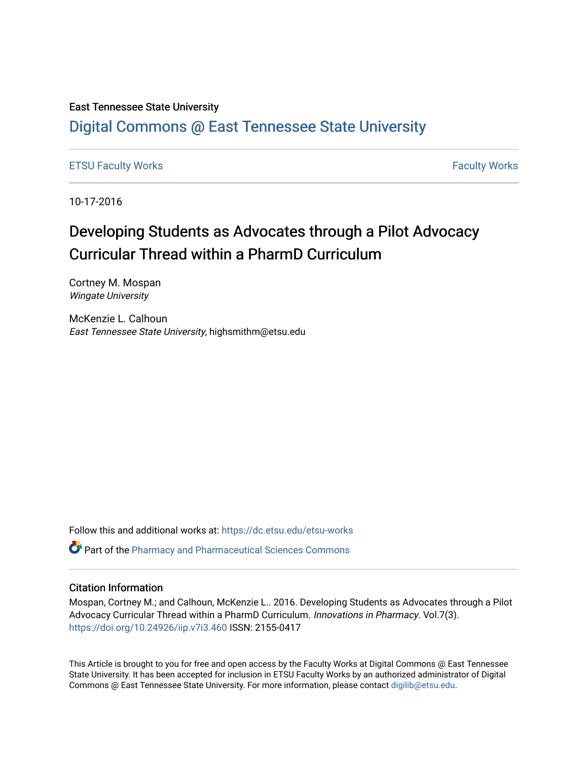#### East Tennessee State University

## [Digital Commons @ East Tennessee State University](https://dc.etsu.edu/)

#### [ETSU Faculty Works](https://dc.etsu.edu/etsu-works) **Faculty Works** [Faculty Works](https://dc.etsu.edu/faculty-works) **Faculty Works**

10-17-2016

## Developing Students as Advocates through a Pilot Advocacy Curricular Thread within a PharmD Curriculum

Cortney M. Mospan Wingate University

McKenzie L. Calhoun East Tennessee State University, highsmithm@etsu.edu

Follow this and additional works at: [https://dc.etsu.edu/etsu-works](https://dc.etsu.edu/etsu-works?utm_source=dc.etsu.edu%2Fetsu-works%2F6873&utm_medium=PDF&utm_campaign=PDFCoverPages) 

**P** Part of the [Pharmacy and Pharmaceutical Sciences Commons](http://network.bepress.com/hgg/discipline/731?utm_source=dc.etsu.edu%2Fetsu-works%2F6873&utm_medium=PDF&utm_campaign=PDFCoverPages)

#### Citation Information

Mospan, Cortney M.; and Calhoun, McKenzie L.. 2016. Developing Students as Advocates through a Pilot Advocacy Curricular Thread within a PharmD Curriculum. Innovations in Pharmacy. Vol.7(3). <https://doi.org/10.24926/iip.v7i3.460> ISSN: 2155-0417

This Article is brought to you for free and open access by the Faculty Works at Digital Commons @ East Tennessee State University. It has been accepted for inclusion in ETSU Faculty Works by an authorized administrator of Digital Commons @ East Tennessee State University. For more information, please contact [digilib@etsu.edu.](mailto:digilib@etsu.edu)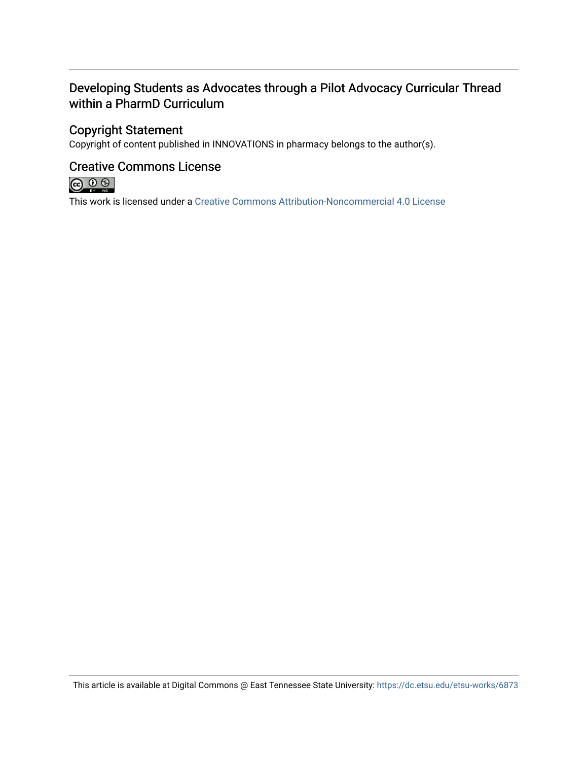## Developing Students as Advocates through a Pilot Advocacy Curricular Thread within a PharmD Curriculum

### Copyright Statement

Copyright of content published in INNOVATIONS in pharmacy belongs to the author(s).

### Creative Commons License



This work is licensed under a [Creative Commons Attribution-Noncommercial 4.0 License](https://creativecommons.org/licenses/by-nc/4.0/) 

This article is available at Digital Commons @ East Tennessee State University: <https://dc.etsu.edu/etsu-works/6873>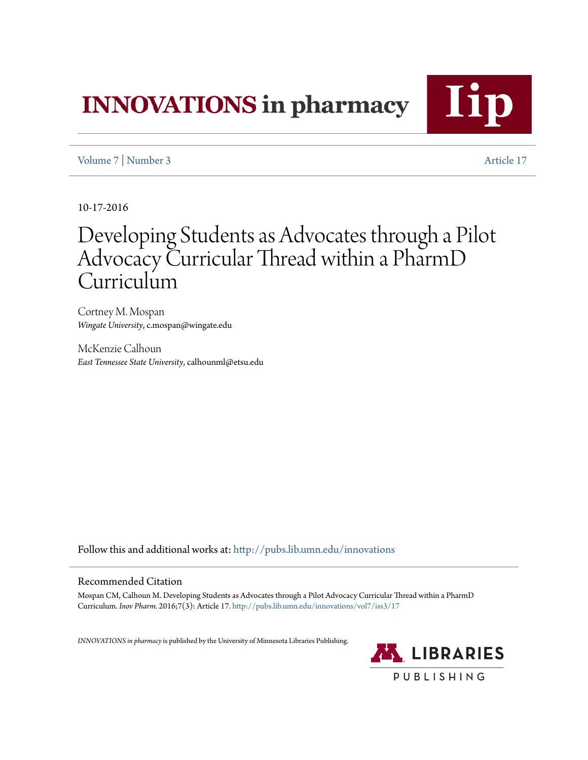# **INNOVATIONS** in pharmacy



[Volume 7](http://pubs.lib.umn.edu/innovations/vol7?utm_source=pubs.lib.umn.edu%2Finnovations%2Fvol7%2Fiss3%2F17&utm_medium=PDF&utm_campaign=PDFCoverPages) | [Number 3](http://pubs.lib.umn.edu/innovations/vol7/iss3?utm_source=pubs.lib.umn.edu%2Finnovations%2Fvol7%2Fiss3%2F17&utm_medium=PDF&utm_campaign=PDFCoverPages) [Article 17](http://pubs.lib.umn.edu/innovations/vol7/iss3/17?utm_source=pubs.lib.umn.edu%2Finnovations%2Fvol7%2Fiss3%2F17&utm_medium=PDF&utm_campaign=PDFCoverPages)

10-17-2016

## Developing Students as Advocates through a Pilot Advocacy Curricular Thread within a PharmD **Curriculum**

Cortney M. Mospan *Wingate University*, c.mospan@wingate.edu

McKenzie Calhoun *East Tennessee State University*, calhounml@etsu.edu

Follow this and additional works at: [http://pubs.lib.umn.edu/innovations](http://pubs.lib.umn.edu/innovations?utm_source=pubs.lib.umn.edu%2Finnovations%2Fvol7%2Fiss3%2F17&utm_medium=PDF&utm_campaign=PDFCoverPages)

#### Recommended Citation

Mospan CM, Calhoun M. Developing Students as Advocates through a Pilot Advocacy Curricular Thread within a PharmD Curriculum. *Inov Pharm.* 2016;7(3): Article 17. [http://pubs.lib.umn.edu/innovations/vol7/iss3/17](http://pubs.lib.umn.edu/innovations/vol7/iss3/17?utm_source=pubs.lib.umn.edu%2Finnovations%2Fvol7%2Fiss3%2F17&utm_medium=PDF&utm_campaign=PDFCoverPages)

*INNOVATIONS in pharmacy*is published by the University of Minnesota Libraries Publishing.

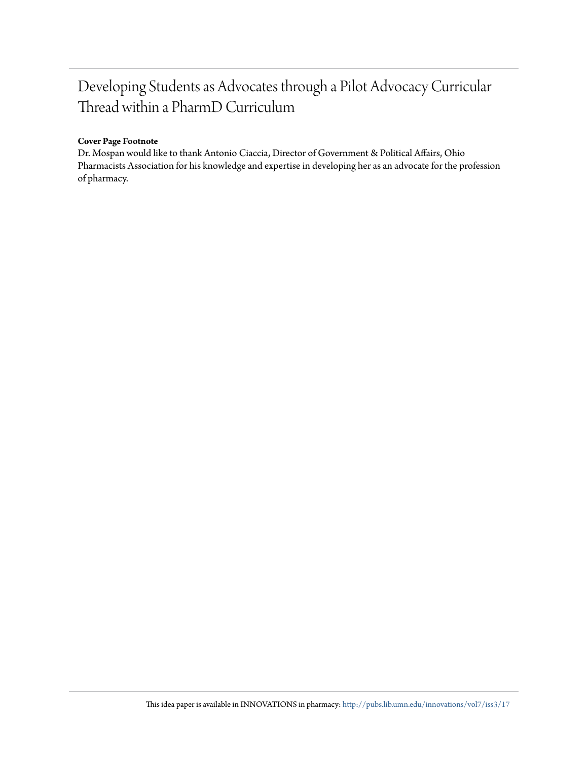## Developing Students as Advocates through a Pilot Advocacy Curricular Thread within a PharmD Curriculum

#### **Cover Page Footnote**

Dr. Mospan would like to thank Antonio Ciaccia, Director of Government & Political Affairs, Ohio Pharmacists Association for his knowledge and expertise in developing her as an advocate for the profession of pharmacy.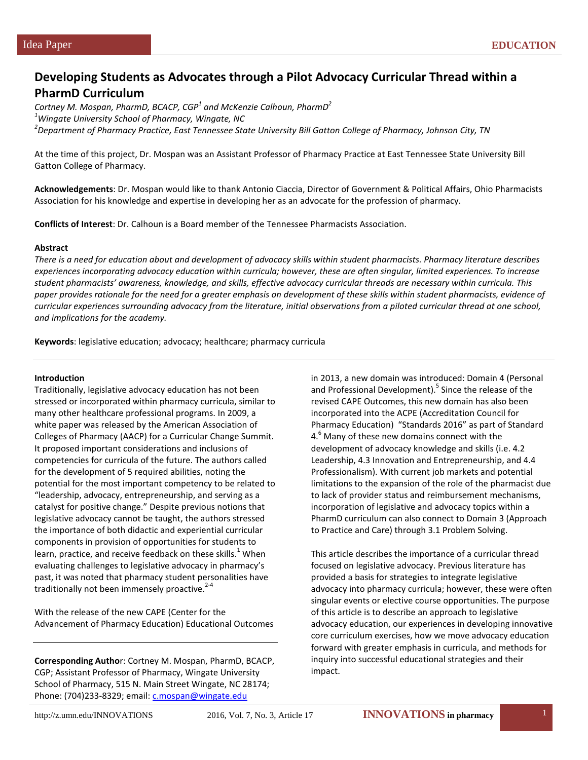### **Developing Students as Advocates through a Pilot Advocacy Curricular Thread within a PharmD Curriculum**

*Cortney M. Mospan, PharmD, BCACP, CGP<sup>1</sup> and McKenzie Calhoun, PharmD2 1 Wingate University School of Pharmacy, Wingate, NC <sup>2</sup> Department of Pharmacy Practice, East Tennessee State University Bill Gatton College of Pharmacy, Johnson City, TN*

At the time of this project, Dr. Mospan was an Assistant Professor of Pharmacy Practice at East Tennessee State University Bill Gatton College of Pharmacy.

**Acknowledgements**: Dr. Mospan would like to thank Antonio Ciaccia, Director of Government & Political Affairs, Ohio Pharmacists Association for his knowledge and expertise in developing her as an advocate for the profession of pharmacy.

**Conflicts of Interest**: Dr. Calhoun is a Board member of the Tennessee Pharmacists Association.

#### **Abstract**

*There is a need for education about and development of advocacy skills within student pharmacists. Pharmacy literature describes experiences incorporating advocacy education within curricula; however, these are often singular, limited experiences. To increase student pharmacists' awareness, knowledge, and skills, effective advocacy curricular threads are necessary within curricula. This paper provides rationale for the need for a greater emphasis on development of these skills within student pharmacists, evidence of curricular experiences surrounding advocacy from the literature, initial observations from a piloted curricular thread at one school, and implications for the academy.*

**Keywords**: legislative education; advocacy; healthcare; pharmacy curricula

#### **Introduction**

Traditionally, legislative advocacy education has not been stressed or incorporated within pharmacy curricula, similar to many other healthcare professional programs. In 2009, a white paper was released by the American Association of Colleges of Pharmacy (AACP) for a Curricular Change Summit. It proposed important considerations and inclusions of competencies for curricula of the future. The authors called for the development of 5 required abilities, noting the potential for the most important competency to be related to "leadership, advocacy, entrepreneurship, and serving as a catalyst for positive change." Despite previous notions that legislative advocacy cannot be taught, the authors stressed the importance of both didactic and experiential curricular components in provision of opportunities for students to learn, practice, and receive feedback on these skills. $1$  When evaluating challenges to legislative advocacy in pharmacy's past, it was noted that pharmacy student personalities have traditionally not been immensely proactive. $2^{-4}$ 

With the release of the new CAPE (Center for the Advancement of Pharmacy Education) Educational Outcomes

**Corresponding Autho**r: Cortney M. Mospan, PharmD, BCACP, CGP; Assistant Professor of Pharmacy, Wingate University School of Pharmacy, 515 N. Main Street Wingate, NC 28174; Phone: (704)233-8329; email: c.mospan@wingate.edu

in 2013, a new domain was introduced: Domain 4 (Personal and Professional Development).<sup>5</sup> Since the release of the revised CAPE Outcomes, this new domain has also been incorporated into the ACPE (Accreditation Council for Pharmacy Education) "Standards 2016" as part of Standard 4.<sup>6</sup> Many of these new domains connect with the development of advocacy knowledge and skills (i.e. 4.2 Leadership, 4.3 Innovation and Entrepreneurship, and 4.4 Professionalism). With current job markets and potential limitations to the expansion of the role of the pharmacist due to lack of provider status and reimbursement mechanisms, incorporation of legislative and advocacy topics within a PharmD curriculum can also connect to Domain 3 (Approach to Practice and Care) through 3.1 Problem Solving.

This article describes the importance of a curricular thread focused on legislative advocacy. Previous literature has provided a basis for strategies to integrate legislative advocacy into pharmacy curricula; however, these were often singular events or elective course opportunities. The purpose of this article is to describe an approach to legislative advocacy education, our experiences in developing innovative core curriculum exercises, how we move advocacy education forward with greater emphasis in curricula, and methods for inquiry into successful educational strategies and their impact.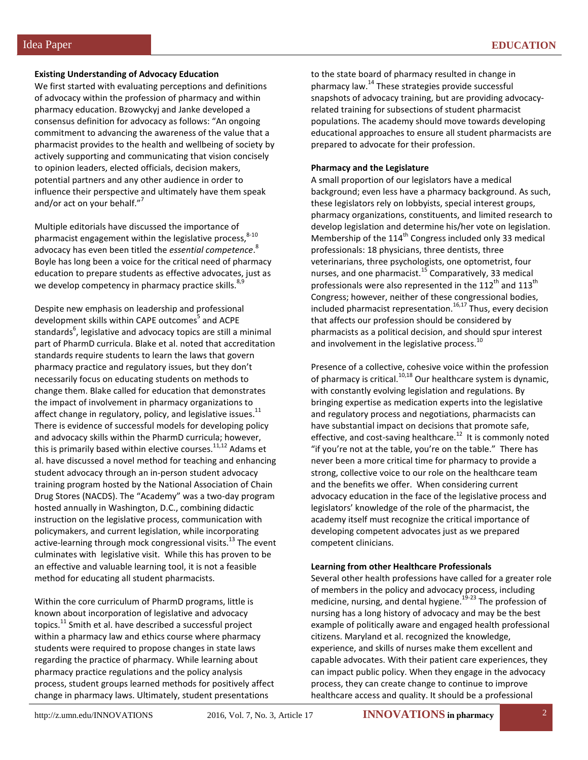#### **Existing Understanding of Advocacy Education**

We first started with evaluating perceptions and definitions of advocacy within the profession of pharmacy and within pharmacy education. Bzowyckyj and Janke developed a consensus definition for advocacy as follows: "An ongoing commitment to advancing the awareness of the value that a pharmacist provides to the health and wellbeing of society by actively supporting and communicating that vision concisely to opinion leaders, elected officials, decision makers, potential partners and any other audience in order to influence their perspective and ultimately have them speak and/or act on your behalf."<sup>7</sup>

Multiple editorials have discussed the importance of pharmacist engagement within the legislative process,  $8-10$ advocacy has even been titled the *essential competence*. 8 Boyle has long been a voice for the critical need of pharmacy education to prepare students as effective advocates, just as we develop competency in pharmacy practice skills.<sup>8,9</sup>

Despite new emphasis on leadership and professional development skills within CAPE outcomes<sup>5</sup> and ACPE standards $^6$ , legislative and advocacy topics are still a minimal part of PharmD curricula. Blake et al. noted that accreditation standards require students to learn the laws that govern pharmacy practice and regulatory issues, but they don't necessarily focus on educating students on methods to change them. Blake called for education that demonstrates the impact of involvement in pharmacy organizations to affect change in regulatory, policy, and legislative issues. $^{11}$ There is evidence of successful models for developing policy and advocacy skills within the PharmD curricula; however, this is primarily based within elective courses.<sup>11,12</sup> Adams et al. have discussed a novel method for teaching and enhancing student advocacy through an in-person student advocacy training program hosted by the National Association of Chain Drug Stores (NACDS). The "Academy" was a two-day program hosted annually in Washington, D.C., combining didactic instruction on the legislative process, communication with policymakers, and current legislation, while incorporating active-learning through mock congressional visits.<sup>13</sup> The event culminates with legislative visit. While this has proven to be an effective and valuable learning tool, it is not a feasible method for educating all student pharmacists.

Within the core curriculum of PharmD programs, little is known about incorporation of legislative and advocacy topics.<sup>11</sup> Smith et al. have described a successful project within a pharmacy law and ethics course where pharmacy students were required to propose changes in state laws regarding the practice of pharmacy. While learning about pharmacy practice regulations and the policy analysis process, student groups learned methods for positively affect change in pharmacy laws. Ultimately, student presentations

to the state board of pharmacy resulted in change in pharmacy law.<sup>14</sup> These strategies provide successful snapshots of advocacy training, but are providing advocacyrelated training for subsections of student pharmacist populations. The academy should move towards developing educational approaches to ensure all student pharmacists are prepared to advocate for their profession.

#### **Pharmacy and the Legislature**

A small proportion of our legislators have a medical background; even less have a pharmacy background. As such, these legislators rely on lobbyists, special interest groups, pharmacy organizations, constituents, and limited research to develop legislation and determine his/her vote on legislation. Membership of the 114<sup>th</sup> Congress included only 33 medical professionals: 18 physicians, three dentists, three veterinarians, three psychologists, one optometrist, four nurses, and one pharmacist.<sup>15</sup> Comparatively, 33 medical professionals were also represented in the 112<sup>th</sup> and 113<sup>th</sup> Congress; however, neither of these congressional bodies,  $included$  pharmacist representation.<sup>16,17</sup> Thus, every decision that affects our profession should be considered by pharmacists as a political decision, and should spur interest and involvement in the legislative process.<sup>10</sup>

Presence of a collective, cohesive voice within the profession of pharmacy is critical.<sup>10,18</sup> Our healthcare system is dynamic, with constantly evolving legislation and regulations. By bringing expertise as medication experts into the legislative and regulatory process and negotiations, pharmacists can have substantial impact on decisions that promote safe, effective, and cost-saving healthcare.<sup>12</sup> It is commonly noted "if you're not at the table, you're on the table." There has never been a more critical time for pharmacy to provide a strong, collective voice to our role on the healthcare team and the benefits we offer. When considering current advocacy education in the face of the legislative process and legislators' knowledge of the role of the pharmacist, the academy itself must recognize the critical importance of developing competent advocates just as we prepared competent clinicians.

#### **Learning from other Healthcare Professionals**

Several other health professions have called for a greater role of members in the policy and advocacy process, including medicine, nursing, and dental hygiene.<sup>19-23</sup> The profession of nursing has a long history of advocacy and may be the best example of politically aware and engaged health professional citizens. Maryland et al. recognized the knowledge, experience, and skills of nurses make them excellent and capable advocates. With their patient care experiences, they can impact public policy. When they engage in the advocacy process, they can create change to continue to improve healthcare access and quality. It should be a professional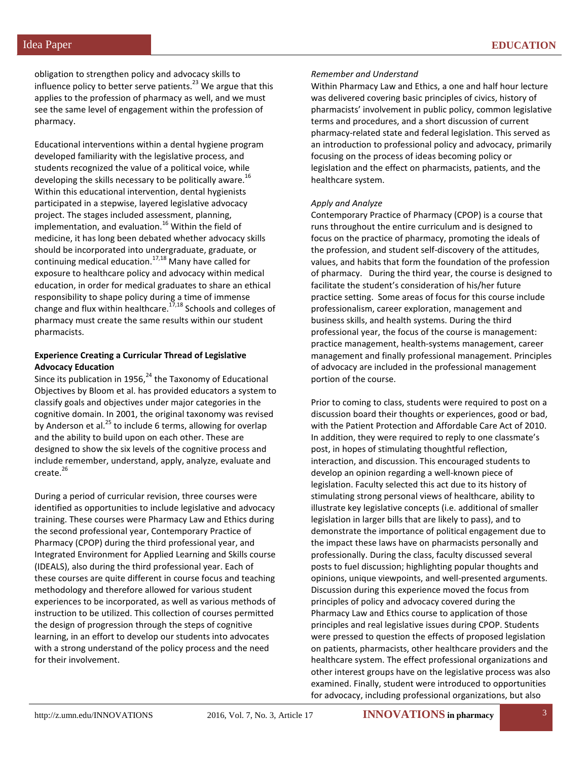obligation to strengthen policy and advocacy skills to influence policy to better serve patients. $^{23}$  We argue that this applies to the profession of pharmacy as well, and we must see the same level of engagement within the profession of pharmacy.

Educational interventions within a dental hygiene program developed familiarity with the legislative process, and students recognized the value of a political voice, while developing the skills necessary to be politically aware.<sup>16</sup> Within this educational intervention, dental hygienists participated in a stepwise, layered legislative advocacy project. The stages included assessment, planning, implementation, and evaluation.<sup>16</sup> Within the field of medicine, it has long been debated whether advocacy skills should be incorporated into undergraduate, graduate, or continuing medical education.17,18 Many have called for exposure to healthcare policy and advocacy within medical education, in order for medical graduates to share an ethical responsibility to shape policy during a time of immense change and flux within healthcare.<sup>17,18</sup> Schools and colleges of pharmacy must create the same results within our student pharmacists.

#### **Experience Creating a Curricular Thread of Legislative Advocacy Education**

Since its publication in 1956, $^{24}$  the Taxonomy of Educational Objectives by Bloom et al. has provided educators a system to classify goals and objectives under major categories in the cognitive domain. In 2001, the original taxonomy was revised by Anderson et al.<sup>25</sup> to include 6 terms, allowing for overlap and the ability to build upon on each other. These are designed to show the six levels of the cognitive process and include remember, understand, apply, analyze, evaluate and create.<sup>26</sup>

During a period of curricular revision, three courses were identified as opportunities to include legislative and advocacy training. These courses were Pharmacy Law and Ethics during the second professional year, Contemporary Practice of Pharmacy (CPOP) during the third professional year, and Integrated Environment for Applied Learning and Skills course (IDEALS), also during the third professional year. Each of these courses are quite different in course focus and teaching methodology and therefore allowed for various student experiences to be incorporated, as well as various methods of instruction to be utilized. This collection of courses permitted the design of progression through the steps of cognitive learning, in an effort to develop our students into advocates with a strong understand of the policy process and the need for their involvement.

#### *Remember and Understand*

Within Pharmacy Law and Ethics, a one and half hour lecture was delivered covering basic principles of civics, history of pharmacists' involvement in public policy, common legislative terms and procedures, and a short discussion of current pharmacy-related state and federal legislation. This served as an introduction to professional policy and advocacy, primarily focusing on the process of ideas becoming policy or legislation and the effect on pharmacists, patients, and the healthcare system.

#### *Apply and Analyze*

Contemporary Practice of Pharmacy (CPOP) is a course that runs throughout the entire curriculum and is designed to focus on the practice of pharmacy, promoting the ideals of the profession, and student self-discovery of the attitudes, values, and habits that form the foundation of the profession of pharmacy. During the third year, the course is designed to facilitate the student's consideration of his/her future practice setting. Some areas of focus for this course include professionalism, career exploration, management and business skills, and health systems. During the third professional year, the focus of the course is management: practice management, health-systems management, career management and finally professional management. Principles of advocacy are included in the professional management portion of the course.

Prior to coming to class, students were required to post on a discussion board their thoughts or experiences, good or bad, with the Patient Protection and Affordable Care Act of 2010. In addition, they were required to reply to one classmate's post, in hopes of stimulating thoughtful reflection, interaction, and discussion. This encouraged students to develop an opinion regarding a well-known piece of legislation. Faculty selected this act due to its history of stimulating strong personal views of healthcare, ability to illustrate key legislative concepts (i.e. additional of smaller legislation in larger bills that are likely to pass), and to demonstrate the importance of political engagement due to the impact these laws have on pharmacists personally and professionally. During the class, faculty discussed several posts to fuel discussion; highlighting popular thoughts and opinions, unique viewpoints, and well-presented arguments. Discussion during this experience moved the focus from principles of policy and advocacy covered during the Pharmacy Law and Ethics course to application of those principles and real legislative issues during CPOP. Students were pressed to question the effects of proposed legislation on patients, pharmacists, other healthcare providers and the healthcare system. The effect professional organizations and other interest groups have on the legislative process was also examined. Finally, student were introduced to opportunities for advocacy, including professional organizations, but also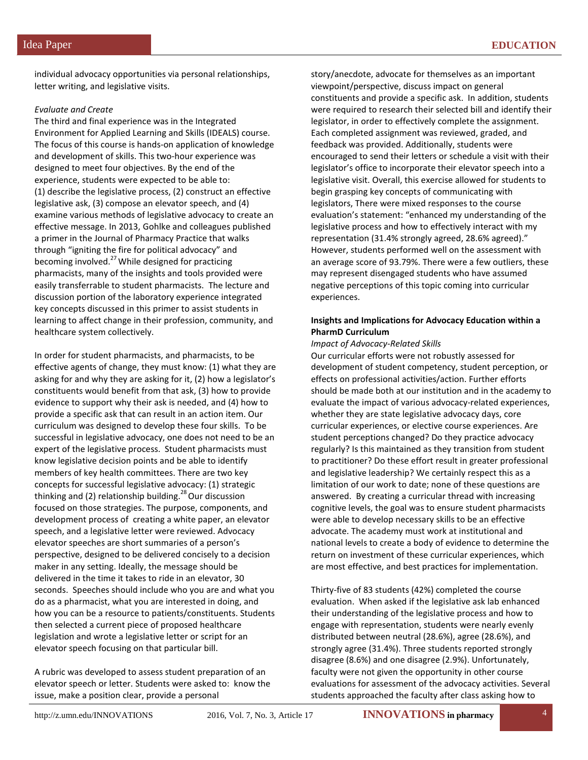individual advocacy opportunities via personal relationships, letter writing, and legislative visits.

#### *Evaluate and Create*

The third and final experience was in the Integrated Environment for Applied Learning and Skills (IDEALS) course. The focus of this course is hands-on application of knowledge and development of skills. This two-hour experience was designed to meet four objectives. By the end of the experience, students were expected to be able to: (1) describe the legislative process, (2) construct an effective legislative ask, (3) compose an elevator speech, and (4) examine various methods of legislative advocacy to create an effective message. In 2013, Gohlke and colleagues published a primer in the Journal of Pharmacy Practice that walks through "igniting the fire for political advocacy" and becoming involved. $^{27}$  While designed for practicing pharmacists, many of the insights and tools provided were easily transferrable to student pharmacists. The lecture and discussion portion of the laboratory experience integrated key concepts discussed in this primer to assist students in learning to affect change in their profession, community, and healthcare system collectively.

In order for student pharmacists, and pharmacists, to be effective agents of change, they must know: (1) what they are asking for and why they are asking for it, (2) how a legislator's constituents would benefit from that ask, (3) how to provide evidence to support why their ask is needed, and (4) how to provide a specific ask that can result in an action item. Our curriculum was designed to develop these four skills. To be successful in legislative advocacy, one does not need to be an expert of the legislative process. Student pharmacists must know legislative decision points and be able to identify members of key health committees. There are two key concepts for successful legislative advocacy: (1) strategic thinking and (2) relationship building.<sup>28</sup> Our discussion focused on those strategies. The purpose, components, and development process of creating a white paper, an elevator speech, and a legislative letter were reviewed. Advocacy elevator speeches are short summaries of a person's perspective, designed to be delivered concisely to a decision maker in any setting. Ideally, the message should be delivered in the time it takes to ride in an elevator, 30 seconds. Speeches should include who you are and what you do as a pharmacist, what you are interested in doing, and how you can be a resource to patients/constituents. Students then selected a current piece of proposed healthcare legislation and wrote a legislative letter or script for an elevator speech focusing on that particular bill.

A rubric was developed to assess student preparation of an elevator speech or letter. Students were asked to: know the issue, make a position clear, provide a personal

story/anecdote, advocate for themselves as an important viewpoint/perspective, discuss impact on general constituents and provide a specific ask. In addition, students were required to research their selected bill and identify their legislator, in order to effectively complete the assignment. Each completed assignment was reviewed, graded, and feedback was provided. Additionally, students were encouraged to send their letters or schedule a visit with their legislator's office to incorporate their elevator speech into a legislative visit. Overall, this exercise allowed for students to begin grasping key concepts of communicating with legislators, There were mixed responses to the course evaluation's statement: "enhanced my understanding of the legislative process and how to effectively interact with my representation (31.4% strongly agreed, 28.6% agreed)." However, students performed well on the assessment with an average score of 93.79%. There were a few outliers, these may represent disengaged students who have assumed negative perceptions of this topic coming into curricular experiences.

#### **Insights and Implications for Advocacy Education within a PharmD Curriculum**

*Impact of Advocacy-Related Skills*

Our curricular efforts were not robustly assessed for development of student competency, student perception, or effects on professional activities/action. Further efforts should be made both at our institution and in the academy to evaluate the impact of various advocacy-related experiences, whether they are state legislative advocacy days, core curricular experiences, or elective course experiences. Are student perceptions changed? Do they practice advocacy regularly? Is this maintained as they transition from student to practitioner? Do these effort result in greater professional and legislative leadership? We certainly respect this as a limitation of our work to date; none of these questions are answered. By creating a curricular thread with increasing cognitive levels, the goal was to ensure student pharmacists were able to develop necessary skills to be an effective advocate. The academy must work at institutional and national levels to create a body of evidence to determine the return on investment of these curricular experiences, which are most effective, and best practices for implementation.

Thirty-five of 83 students (42%) completed the course evaluation. When asked if the legislative ask lab enhanced their understanding of the legislative process and how to engage with representation, students were nearly evenly distributed between neutral (28.6%), agree (28.6%), and strongly agree (31.4%). Three students reported strongly disagree (8.6%) and one disagree (2.9%). Unfortunately, faculty were not given the opportunity in other course evaluations for assessment of the advocacy activities. Several students approached the faculty after class asking how to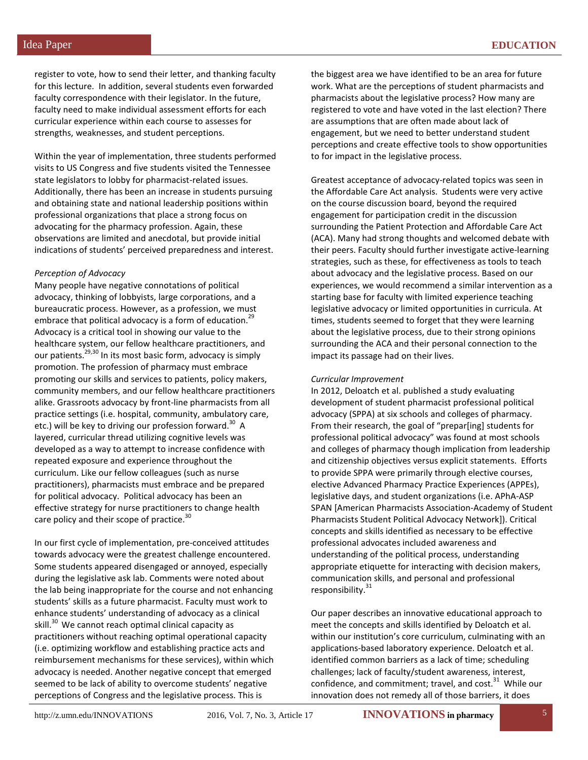register to vote, how to send their letter, and thanking faculty for this lecture. In addition, several students even forwarded faculty correspondence with their legislator. In the future, faculty need to make individual assessment efforts for each curricular experience within each course to assesses for strengths, weaknesses, and student perceptions.

Within the year of implementation, three students performed visits to US Congress and five students visited the Tennessee state legislators to lobby for pharmacist-related issues. Additionally, there has been an increase in students pursuing and obtaining state and national leadership positions within professional organizations that place a strong focus on advocating for the pharmacy profession. Again, these observations are limited and anecdotal, but provide initial indications of students' perceived preparedness and interest.

#### *Perception of Advocacy*

Many people have negative connotations of political advocacy, thinking of lobbyists, large corporations, and a bureaucratic process. However, as a profession, we must embrace that political advocacy is a form of education.<sup>29</sup> Advocacy is a critical tool in showing our value to the healthcare system, our fellow healthcare practitioners, and our patients.<sup>29,30</sup> In its most basic form, advocacy is simply promotion. The profession of pharmacy must embrace promoting our skills and services to patients, policy makers, community members, and our fellow healthcare practitioners alike. Grassroots advocacy by front-line pharmacists from all practice settings (i.e. hospital, community, ambulatory care, etc.) will be key to driving our profession forward.<sup>30</sup> A layered, curricular thread utilizing cognitive levels was developed as a way to attempt to increase confidence with repeated exposure and experience throughout the curriculum. Like our fellow colleagues (such as nurse practitioners), pharmacists must embrace and be prepared for political advocacy. Political advocacy has been an effective strategy for nurse practitioners to change health care policy and their scope of practice.<sup>30</sup>

In our first cycle of implementation, pre-conceived attitudes towards advocacy were the greatest challenge encountered. Some students appeared disengaged or annoyed, especially during the legislative ask lab. Comments were noted about the lab being inappropriate for the course and not enhancing students' skills as a future pharmacist. Faculty must work to enhance students' understanding of advocacy as a clinical skill.<sup>30</sup> We cannot reach optimal clinical capacity as practitioners without reaching optimal operational capacity (i.e. optimizing workflow and establishing practice acts and reimbursement mechanisms for these services), within which advocacy is needed. Another negative concept that emerged seemed to be lack of ability to overcome students' negative perceptions of Congress and the legislative process. This is

the biggest area we have identified to be an area for future work. What are the perceptions of student pharmacists and pharmacists about the legislative process? How many are registered to vote and have voted in the last election? There are assumptions that are often made about lack of engagement, but we need to better understand student perceptions and create effective tools to show opportunities to for impact in the legislative process.

Greatest acceptance of advocacy-related topics was seen in the Affordable Care Act analysis. Students were very active on the course discussion board, beyond the required engagement for participation credit in the discussion surrounding the Patient Protection and Affordable Care Act (ACA). Many had strong thoughts and welcomed debate with their peers. Faculty should further investigate active-learning strategies, such as these, for effectiveness as tools to teach about advocacy and the legislative process. Based on our experiences, we would recommend a similar intervention as a starting base for faculty with limited experience teaching legislative advocacy or limited opportunities in curricula. At times, students seemed to forget that they were learning about the legislative process, due to their strong opinions surrounding the ACA and their personal connection to the impact its passage had on their lives.

#### *Curricular Improvement*

In 2012, Deloatch et al. published a study evaluating development of student pharmacist professional political advocacy (SPPA) at six schools and colleges of pharmacy. From their research, the goal of "prepar[ing] students for professional political advocacy" was found at most schools and colleges of pharmacy though implication from leadership and citizenship objectives versus explicit statements. Efforts to provide SPPA were primarily through elective courses, elective Advanced Pharmacy Practice Experiences (APPEs), legislative days, and student organizations (i.e. APhA-ASP SPAN [American Pharmacists Association-Academy of Student Pharmacists Student Political Advocacy Network]). Critical concepts and skills identified as necessary to be effective professional advocates included awareness and understanding of the political process, understanding appropriate etiquette for interacting with decision makers, communication skills, and personal and professional responsibility.<sup>31</sup>

Our paper describes an innovative educational approach to meet the concepts and skills identified by Deloatch et al. within our institution's core curriculum, culminating with an applications-based laboratory experience. Deloatch et al. identified common barriers as a lack of time; scheduling challenges; lack of faculty/student awareness, interest, confidence, and commitment; travel, and cost. $31$  While our innovation does not remedy all of those barriers, it does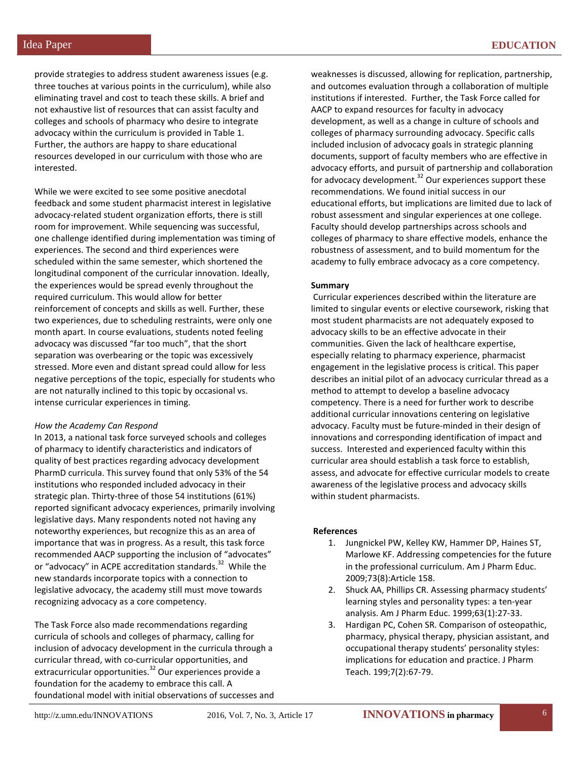provide strategies to address student awareness issues (e.g. three touches at various points in the curriculum), while also eliminating travel and cost to teach these skills. A brief and not exhaustive list of resources that can assist faculty and colleges and schools of pharmacy who desire to integrate advocacy within the curriculum is provided in Table 1. Further, the authors are happy to share educational resources developed in our curriculum with those who are interested.

While we were excited to see some positive anecdotal feedback and some student pharmacist interest in legislative advocacy-related student organization efforts, there is still room for improvement. While sequencing was successful, one challenge identified during implementation was timing of experiences. The second and third experiences were scheduled within the same semester, which shortened the longitudinal component of the curricular innovation. Ideally, the experiences would be spread evenly throughout the required curriculum. This would allow for better reinforcement of concepts and skills as well. Further, these two experiences, due to scheduling restraints, were only one month apart. In course evaluations, students noted feeling advocacy was discussed "far too much", that the short separation was overbearing or the topic was excessively stressed. More even and distant spread could allow for less negative perceptions of the topic, especially for students who are not naturally inclined to this topic by occasional vs. intense curricular experiences in timing.

#### *How the Academy Can Respond*

In 2013, a national task force surveyed schools and colleges of pharmacy to identify characteristics and indicators of quality of best practices regarding advocacy development PharmD curricula. This survey found that only 53% of the 54 institutions who responded included advocacy in their strategic plan. Thirty-three of those 54 institutions (61%) reported significant advocacy experiences, primarily involving legislative days. Many respondents noted not having any noteworthy experiences, but recognize this as an area of importance that was in progress. As a result, this task force recommended AACP supporting the inclusion of "advocates" or "advocacy" in ACPE accreditation standards.<sup>32</sup> While the new standards incorporate topics with a connection to legislative advocacy, the academy still must move towards recognizing advocacy as a core competency.

The Task Force also made recommendations regarding curricula of schools and colleges of pharmacy, calling for inclusion of advocacy development in the curricula through a curricular thread, with co-curricular opportunities, and extracurricular opportunities.<sup>32</sup> Our experiences provide a foundation for the academy to embrace this call. A foundational model with initial observations of successes and

weaknesses is discussed, allowing for replication, partnership, and outcomes evaluation through a collaboration of multiple institutions if interested. Further, the Task Force called for AACP to expand resources for faculty in advocacy development, as well as a change in culture of schools and colleges of pharmacy surrounding advocacy. Specific calls included inclusion of advocacy goals in strategic planning documents, support of faculty members who are effective in advocacy efforts, and pursuit of partnership and collaboration for advocacy development.<sup>32</sup> Our experiences support these recommendations. We found initial success in our educational efforts, but implications are limited due to lack of robust assessment and singular experiences at one college. Faculty should develop partnerships across schools and colleges of pharmacy to share effective models, enhance the robustness of assessment, and to build momentum for the academy to fully embrace advocacy as a core competency.

#### **Summary**

Curricular experiences described within the literature are limited to singular events or elective coursework, risking that most student pharmacists are not adequately exposed to advocacy skills to be an effective advocate in their communities. Given the lack of healthcare expertise, especially relating to pharmacy experience, pharmacist engagement in the legislative process is critical. This paper describes an initial pilot of an advocacy curricular thread as a method to attempt to develop a baseline advocacy competency. There is a need for further work to describe additional curricular innovations centering on legislative advocacy. Faculty must be future-minded in their design of innovations and corresponding identification of impact and success. Interested and experienced faculty within this curricular area should establish a task force to establish, assess, and advocate for effective curricular models to create awareness of the legislative process and advocacy skills within student pharmacists.

#### **References**

- 1. Jungnickel PW, Kelley KW, Hammer DP, Haines ST, Marlowe KF. Addressing competencies for the future in the professional curriculum. Am J Pharm Educ. 2009;73(8):Article 158.
- 2. Shuck AA, Phillips CR. Assessing pharmacy students' learning styles and personality types: a ten-year analysis. Am J Pharm Educ. 1999;63(1):27-33.
- 3. Hardigan PC, Cohen SR. Comparison of osteopathic, pharmacy, physical therapy, physician assistant, and occupational therapy students' personality styles: implications for education and practice. J Pharm Teach. 199;7(2):67-79.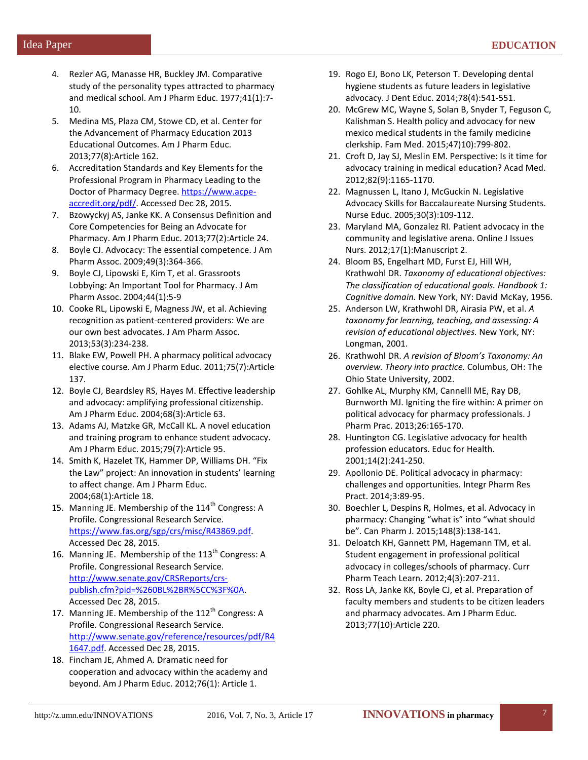- 4. Rezler AG, Manasse HR, Buckley JM. Comparative study of the personality types attracted to pharmacy and medical school. Am J Pharm Educ. 1977;41(1):7- 10.
- 5. Medina MS, Plaza CM, Stowe CD, et al. Center for the Advancement of Pharmacy Education 2013 Educational Outcomes. Am J Pharm Educ. 2013;77(8):Article 162.
- 6. Accreditation Standards and Key Elements for the Professional Program in Pharmacy Leading to the Doctor of Pharmacy Degree. [https://www.acpe](https://www.acpe-accredit.org/pdf/)[accredit.org/pdf/.](https://www.acpe-accredit.org/pdf/) Accessed Dec 28, 2015.
- 7. Bzowyckyj AS, Janke KK. A Consensus Definition and Core Competencies for Being an Advocate for Pharmacy. Am J Pharm Educ. 2013;77(2):Article 24.
- 8. Boyle CJ. Advocacy: The essential competence. J Am Pharm Assoc. 2009;49(3):364-366.
- 9. Boyle CJ, Lipowski E, Kim T, et al. Grassroots Lobbying: An Important Tool for Pharmacy. J Am Pharm Assoc. 2004;44(1):5-9
- 10. Cooke RL, Lipowski E, Magness JW, et al. Achieving recognition as patient-centered providers: We are our own best advocates. J Am Pharm Assoc. 2013;53(3):234-238.
- 11. Blake EW, Powell PH. A pharmacy political advocacy elective course. Am J Pharm Educ. 2011;75(7):Article 137.
- 12. Boyle CJ, Beardsley RS, Hayes M. Effective leadership and advocacy: amplifying professional citizenship. Am J Pharm Educ. 2004;68(3):Article 63.
- 13. Adams AJ, Matzke GR, McCall KL. A novel education and training program to enhance student advocacy. Am J Pharm Educ. 2015;79(7):Article 95.
- 14. Smith K, Hazelet TK, Hammer DP, Williams DH. "Fix the Law" project: An innovation in students' learning to affect change. Am J Pharm Educ. 2004;68(1):Article 18.
- 15. Manning JE. Membership of the  $114<sup>th</sup>$  Congress: A Profile. Congressional Research Service. [https://www.fas.org/sgp/crs/misc/R43869.pdf.](https://www.fas.org/sgp/crs/misc/R43869.pdf)  Accessed Dec 28, 2015.
- 16. Manning JE. Membership of the  $113<sup>th</sup>$  Congress: A Profile. Congressional Research Service. [http://www.senate.gov/CRSReports/crs](http://www.senate.gov/CRSReports/crs-publish.cfm?pid=%260BL%2BR%5CC%3F%0A)[publish.cfm?pid=%260BL%2BR%5CC%3F%0A.](http://www.senate.gov/CRSReports/crs-publish.cfm?pid=%260BL%2BR%5CC%3F%0A)  Accessed Dec 28, 2015.
- 17. Manning JE. Membership of the  $112<sup>th</sup>$  Congress: A Profile. Congressional Research Service. [http://www.senate.gov/reference/resources/pdf/R4](http://www.senate.gov/reference/resources/pdf/R41647.pdf) [1647.pdf.](http://www.senate.gov/reference/resources/pdf/R41647.pdf) Accessed Dec 28, 2015.
- 18. Fincham JE, Ahmed A. Dramatic need for cooperation and advocacy within the academy and beyond. Am J Pharm Educ. 2012;76(1): Article 1.
- 19. Rogo EJ, Bono LK, Peterson T. Developing dental hygiene students as future leaders in legislative advocacy. J Dent Educ. 2014;78(4):541-551.
- 20. McGrew MC, Wayne S, Solan B, Snyder T, Feguson C, Kalishman S. Health policy and advocacy for new mexico medical students in the family medicine clerkship. Fam Med. 2015;47)10):799-802.
- 21. Croft D, Jay SJ, Meslin EM. Perspective: Is it time for advocacy training in medical education? Acad Med. 2012;82(9):1165-1170.
- 22. Magnussen L, Itano J, McGuckin N. Legislative Advocacy Skills for Baccalaureate Nursing Students. Nurse Educ. 2005;30(3):109-112.
- 23. Maryland MA, Gonzalez RI. Patient advocacy in the community and legislative arena. Online J Issues Nurs. 2012;17(1):Manuscript 2.
- 24. Bloom BS, Engelhart MD, Furst EJ, Hill WH, Krathwohl DR. *Taxonomy of educational objectives: The classification of educational goals. Handbook 1: Cognitive domain.* New York, NY: David McKay, 1956.
- 25. Anderson LW, Krathwohl DR, Airasia PW, et al. *A taxonomy for learning, teaching, and assessing: A revision of educational objectives.* New York, NY: Longman, 2001.
- 26. Krathwohl DR. *A revision of Bloom's Taxonomy: An overview. Theory into practice.* Columbus, OH: The Ohio State University, 2002.
- 27. Gohlke AL, Murphy KM, Cannelll ME, Ray DB, Burnworth MJ. Igniting the fire within: A primer on political advocacy for pharmacy professionals. J Pharm Prac. 2013;26:165-170.
- 28. Huntington CG. Legislative advocacy for health profession educators. Educ for Health. 2001;14(2):241-250.
- 29. Apollonio DE. Political advocacy in pharmacy: challenges and opportunities. Integr Pharm Res Pract. 2014;3:89-95.
- 30. Boechler L, Despins R, Holmes, et al. Advocacy in pharmacy: Changing "what is" into "what should be". Can Pharm J. 2015;148(3):138-141.
- 31. Deloatch KH, Gannett PM, Hagemann TM, et al. Student engagement in professional political advocacy in colleges/schools of pharmacy. Curr Pharm Teach Learn. 2012;4(3):207-211.
- 32. Ross LA, Janke KK, Boyle CJ, et al. Preparation of faculty members and students to be citizen leaders and pharmacy advocates. Am J Pharm Educ*.* 2013;77(10):Article 220.